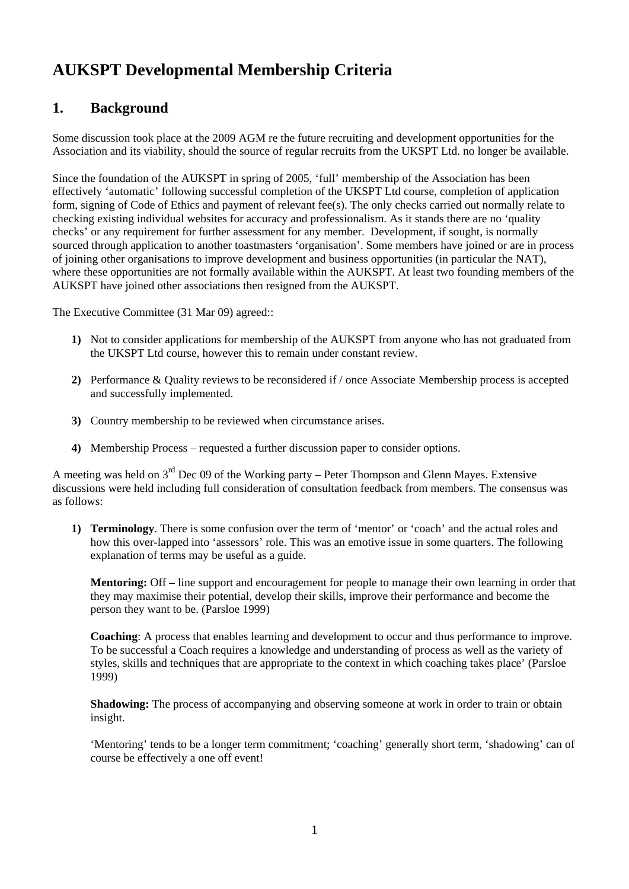## **AUKSPT Developmental Membership Criteria**

## **1. Background**

Some discussion took place at the 2009 AGM re the future recruiting and development opportunities for the Association and its viability, should the source of regular recruits from the UKSPT Ltd. no longer be available.

Since the foundation of the AUKSPT in spring of 2005, 'full' membership of the Association has been effectively 'automatic' following successful completion of the UKSPT Ltd course, completion of application form, signing of Code of Ethics and payment of relevant fee(s). The only checks carried out normally relate to checking existing individual websites for accuracy and professionalism. As it stands there are no 'quality checks' or any requirement for further assessment for any member. Development, if sought, is normally sourced through application to another toastmasters 'organisation'. Some members have joined or are in process of joining other organisations to improve development and business opportunities (in particular the NAT), where these opportunities are not formally available within the AUKSPT. At least two founding members of the AUKSPT have joined other associations then resigned from the AUKSPT.

The Executive Committee (31 Mar 09) agreed::

- **1)** Not to consider applications for membership of the AUKSPT from anyone who has not graduated from the UKSPT Ltd course, however this to remain under constant review.
- **2)** Performance & Quality reviews to be reconsidered if / once Associate Membership process is accepted and successfully implemented.
- **3)** Country membership to be reviewed when circumstance arises.
- **4)** Membership Process requested a further discussion paper to consider options.

A meeting was held on  $3^{rd}$  Dec 09 of the Working party – Peter Thompson and Glenn Mayes. Extensive discussions were held including full consideration of consultation feedback from members. The consensus was as follows:

**1) Terminology**. There is some confusion over the term of 'mentor' or 'coach' and the actual roles and how this over-lapped into 'assessors' role. This was an emotive issue in some quarters. The following explanation of terms may be useful as a guide.

**Mentoring:** Off – line support and encouragement for people to manage their own learning in order that they may maximise their potential, develop their skills, improve their performance and become the person they want to be. (Parsloe 1999)

**Coaching**: A process that enables learning and development to occur and thus performance to improve. To be successful a Coach requires a knowledge and understanding of process as well as the variety of styles, skills and techniques that are appropriate to the context in which coaching takes place' (Parsloe 1999)

**Shadowing:** The process of accompanying and observing someone at work in order to train or obtain insight.

'Mentoring' tends to be a longer term commitment; 'coaching' generally short term, 'shadowing' can of course be effectively a one off event!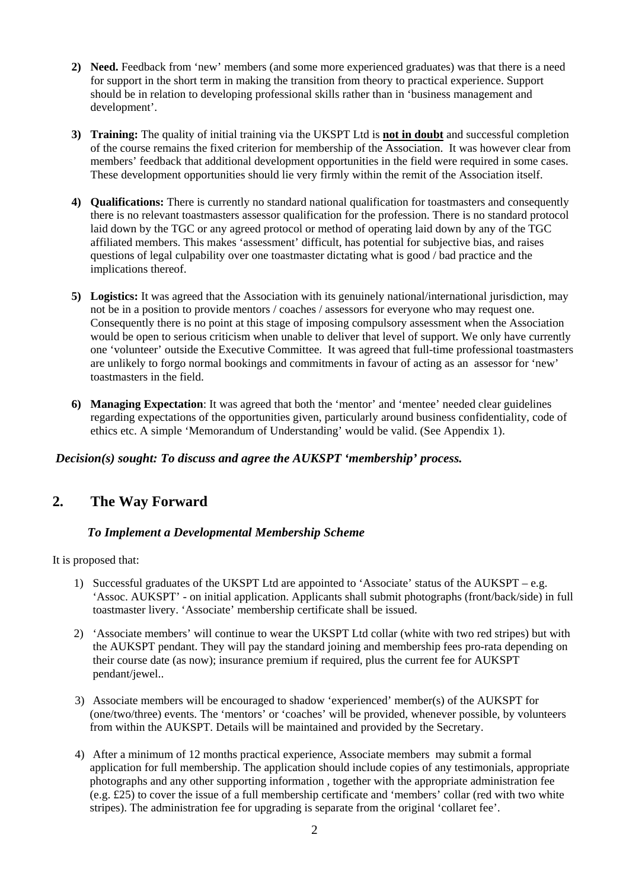- **2) Need.** Feedback from 'new' members (and some more experienced graduates) was that there is a need for support in the short term in making the transition from theory to practical experience. Support should be in relation to developing professional skills rather than in 'business management and development'.
- **3) Training:** The quality of initial training via the UKSPT Ltd is **not in doubt** and successful completion of the course remains the fixed criterion for membership of the Association. It was however clear from members' feedback that additional development opportunities in the field were required in some cases. These development opportunities should lie very firmly within the remit of the Association itself.
- **4) Qualifications:** There is currently no standard national qualification for toastmasters and consequently there is no relevant toastmasters assessor qualification for the profession. There is no standard protocol laid down by the TGC or any agreed protocol or method of operating laid down by any of the TGC affiliated members. This makes 'assessment' difficult, has potential for subjective bias, and raises questions of legal culpability over one toastmaster dictating what is good / bad practice and the implications thereof.
- **5) Logistics:** It was agreed that the Association with its genuinely national/international jurisdiction, may not be in a position to provide mentors / coaches / assessors for everyone who may request one. Consequently there is no point at this stage of imposing compulsory assessment when the Association would be open to serious criticism when unable to deliver that level of support. We only have currently one 'volunteer' outside the Executive Committee. It was agreed that full-time professional toastmasters are unlikely to forgo normal bookings and commitments in favour of acting as an assessor for 'new' toastmasters in the field.
- **6) Managing Expectation**: It was agreed that both the 'mentor' and 'mentee' needed clear guidelines regarding expectations of the opportunities given, particularly around business confidentiality, code of ethics etc. A simple 'Memorandum of Understanding' would be valid. (See Appendix 1).

## *Decision(s) sought: To discuss and agree the AUKSPT 'membership' process.*

## **2. The Way Forward**

## *To Implement a Developmental Membership Scheme*

It is proposed that:

- 1) Successful graduates of the UKSPT Ltd are appointed to 'Associate' status of the AUKSPT e.g. 'Assoc. AUKSPT' - on initial application. Applicants shall submit photographs (front/back/side) in full toastmaster livery. 'Associate' membership certificate shall be issued.
- 2) 'Associate members' will continue to wear the UKSPT Ltd collar (white with two red stripes) but with the AUKSPT pendant. They will pay the standard joining and membership fees pro-rata depending on their course date (as now); insurance premium if required, plus the current fee for AUKSPT pendant/jewel..
- 3) Associate members will be encouraged to shadow 'experienced' member(s) of the AUKSPT for (one/two/three) events. The 'mentors' or 'coaches' will be provided, whenever possible, by volunteers from within the AUKSPT. Details will be maintained and provided by the Secretary.
- 4) After a minimum of 12 months practical experience, Associate members may submit a formal application for full membership. The application should include copies of any testimonials, appropriate photographs and any other supporting information , together with the appropriate administration fee (e.g. £25) to cover the issue of a full membership certificate and 'members' collar (red with two white stripes). The administration fee for upgrading is separate from the original 'collaret fee'.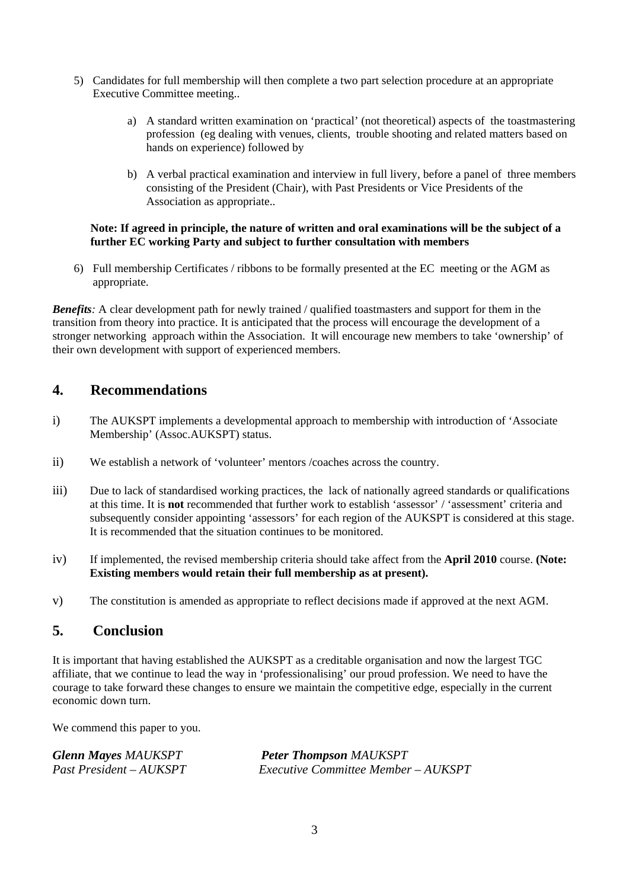- 5) Candidates for full membership will then complete a two part selection procedure at an appropriate Executive Committee meeting..
	- a) A standard written examination on 'practical' (not theoretical) aspects of the toastmastering profession (eg dealing with venues, clients, trouble shooting and related matters based on hands on experience) followed by
	- b) A verbal practical examination and interview in full livery, before a panel of three members consisting of the President (Chair), with Past Presidents or Vice Presidents of the Association as appropriate..

#### **Note: If agreed in principle, the nature of written and oral examinations will be the subject of a further EC working Party and subject to further consultation with members**

6) Full membership Certificates / ribbons to be formally presented at the EC meeting or the AGM as appropriate.

*Benefits*: A clear development path for newly trained / qualified toastmasters and support for them in the transition from theory into practice. It is anticipated that the process will encourage the development of a stronger networking approach within the Association. It will encourage new members to take 'ownership' of their own development with support of experienced members.

## **4. Recommendations**

- i) The AUKSPT implements a developmental approach to membership with introduction of 'Associate Membership' (Assoc.AUKSPT) status.
- ii) We establish a network of 'volunteer' mentors /coaches across the country.
- iii) Due to lack of standardised working practices, the lack of nationally agreed standards or qualifications at this time. It is **not** recommended that further work to establish 'assessor' / 'assessment' criteria and subsequently consider appointing 'assessors' for each region of the AUKSPT is considered at this stage. It is recommended that the situation continues to be monitored.
- iv) If implemented, the revised membership criteria should take affect from the **April 2010** course. **(Note: Existing members would retain their full membership as at present).**
- v) The constitution is amended as appropriate to reflect decisions made if approved at the next AGM.

## **5. Conclusion**

It is important that having established the AUKSPT as a creditable organisation and now the largest TGC affiliate, that we continue to lead the way in 'professionalising' our proud profession. We need to have the courage to take forward these changes to ensure we maintain the competitive edge, especially in the current economic down turn.

We commend this paper to you.

| <b>Glenn Mayes MAUKSPT</b> | <b>Peter Thompson MAUKSPT</b>              |
|----------------------------|--------------------------------------------|
| Past President – AUKSPT    | <b>Executive Committee Member - AUKSPT</b> |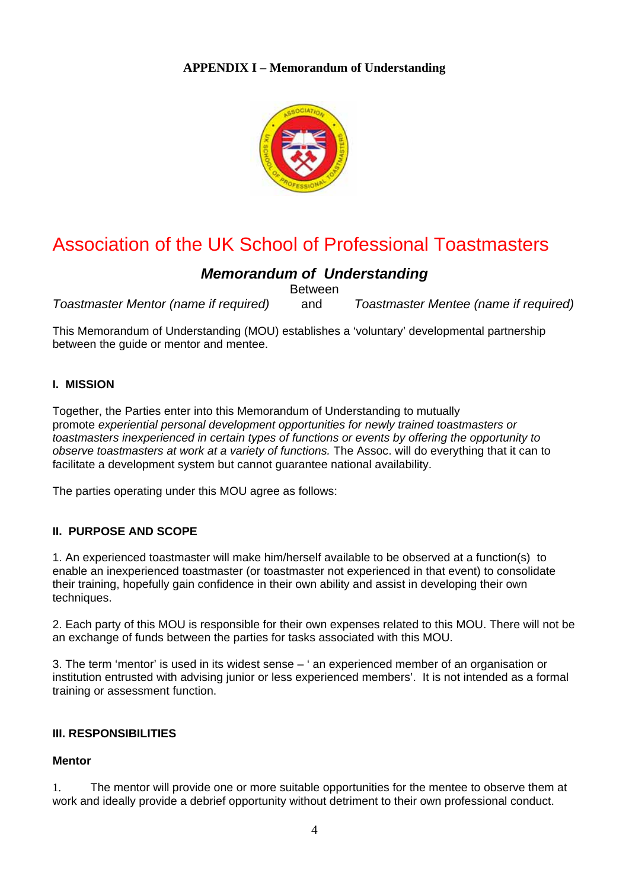

# Association of the UK School of Professional Toastmasters

## *Memorandum of Understanding*

Between

*Toastmaster Mentor (name if required)* and *Toastmaster Mentee (name if required)* 

This Memorandum of Understanding (MOU) establishes a 'voluntary' developmental partnership between the guide or mentor and mentee.

## **I. MISSION**

Together, the Parties enter into this Memorandum of Understanding to mutually promote *experiential personal development opportunities for newly trained toastmasters or toastmasters inexperienced in certain types of functions or events by offering the opportunity to observe toastmasters at work at a variety of functions.* The Assoc. will do everything that it can to facilitate a development system but cannot guarantee national availability.

The parties operating under this MOU agree as follows:

## **II. PURPOSE AND SCOPE**

1. An experienced toastmaster will make him/herself available to be observed at a function(s) to enable an inexperienced toastmaster (or toastmaster not experienced in that event) to consolidate their training, hopefully gain confidence in their own ability and assist in developing their own techniques.

2. Each party of this MOU is responsible for their own expenses related to this MOU. There will not be an exchange of funds between the parties for tasks associated with this MOU.

3. The term 'mentor' is used in its widest sense – ' an experienced member of an organisation or institution entrusted with advising junior or less experienced members'. It is not intended as a formal training or assessment function.

#### **III. RESPONSIBILITIES**

#### **Mentor**

1. The mentor will provide one or more suitable opportunities for the mentee to observe them at work and ideally provide a debrief opportunity without detriment to their own professional conduct.